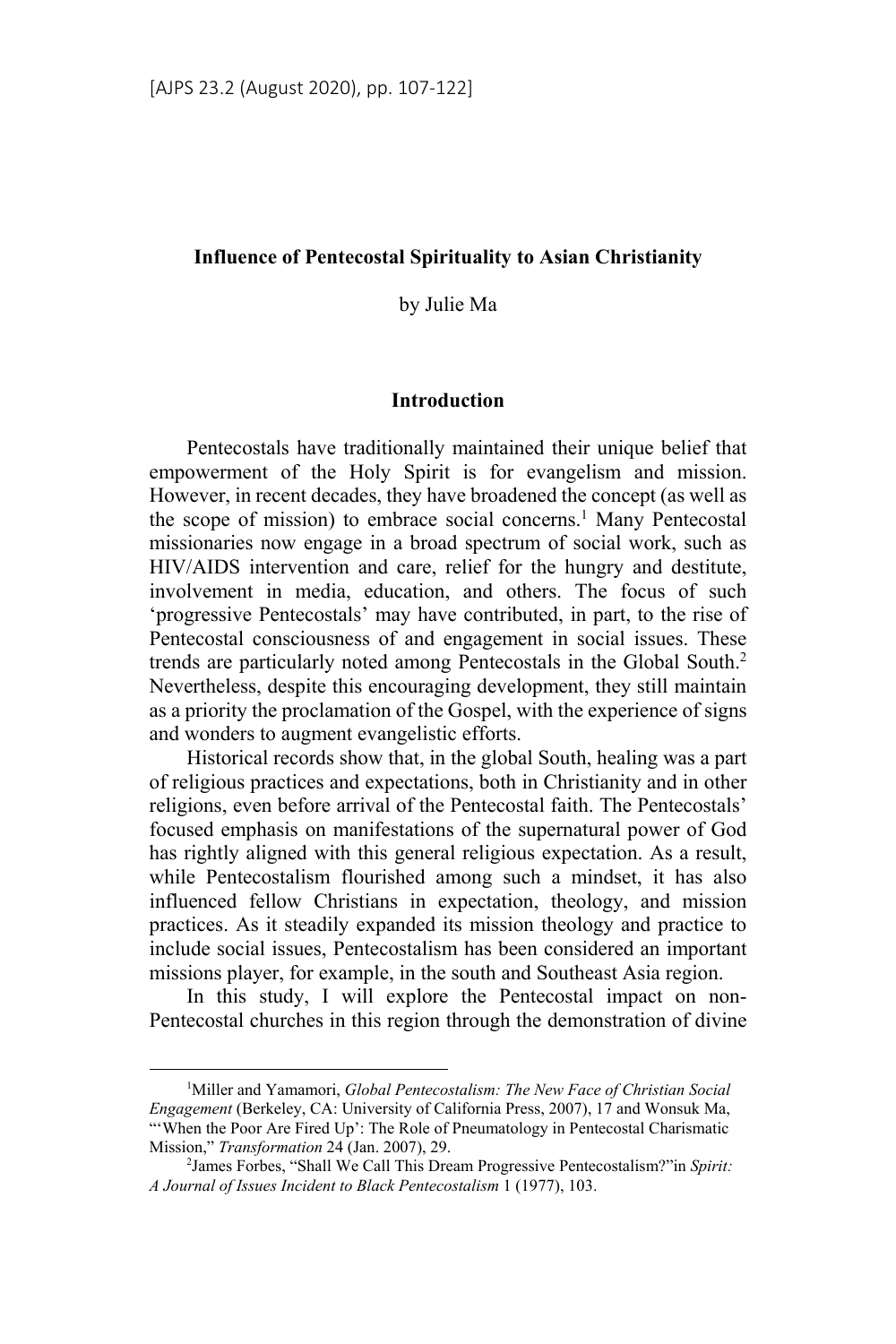### **Influence of Pentecostal Spirituality to Asian Christianity**

by Julie Ma

### **Introduction**

Pentecostals have traditionally maintained their unique belief that empowerment of the Holy Spirit is for evangelism and mission. However, in recent decades, they have broadened the concept (as well as the scope of mission) to embrace social concerns.<sup>1</sup> Many Pentecostal missionaries now engage in a broad spectrum of social work, such as HIV/AIDS intervention and care, relief for the hungry and destitute, involvement in media, education, and others. The focus of such 'progressive Pentecostals' may have contributed, in part, to the rise of Pentecostal consciousness of and engagement in social issues. These trends are particularly noted among Pentecostals in the Global South.2 Nevertheless, despite this encouraging development, they still maintain as a priority the proclamation of the Gospel, with the experience of signs and wonders to augment evangelistic efforts.

Historical records show that, in the global South, healing was a part of religious practices and expectations, both in Christianity and in other religions, even before arrival of the Pentecostal faith. The Pentecostals' focused emphasis on manifestations of the supernatural power of God has rightly aligned with this general religious expectation. As a result, while Pentecostalism flourished among such a mindset, it has also influenced fellow Christians in expectation, theology, and mission practices. As it steadily expanded its mission theology and practice to include social issues, Pentecostalism has been considered an important missions player, for example, in the south and Southeast Asia region.

In this study, I will explore the Pentecostal impact on non-Pentecostal churches in this region through the demonstration of divine

<sup>1</sup> Miller and Yamamori, *Global Pentecostalism: The New Face of Christian Social Engagement* (Berkeley, CA: University of California Press, 2007), 17 and Wonsuk Ma, "'When the Poor Are Fired Up': The Role of Pneumatology in Pentecostal Charismatic Mission," *Transformation* 24 (Jan. 2007), 29. 2

James Forbes, "Shall We Call This Dream Progressive Pentecostalism?"in *Spirit: A Journal of Issues Incident to Black Pentecostalism* 1 (1977), 103.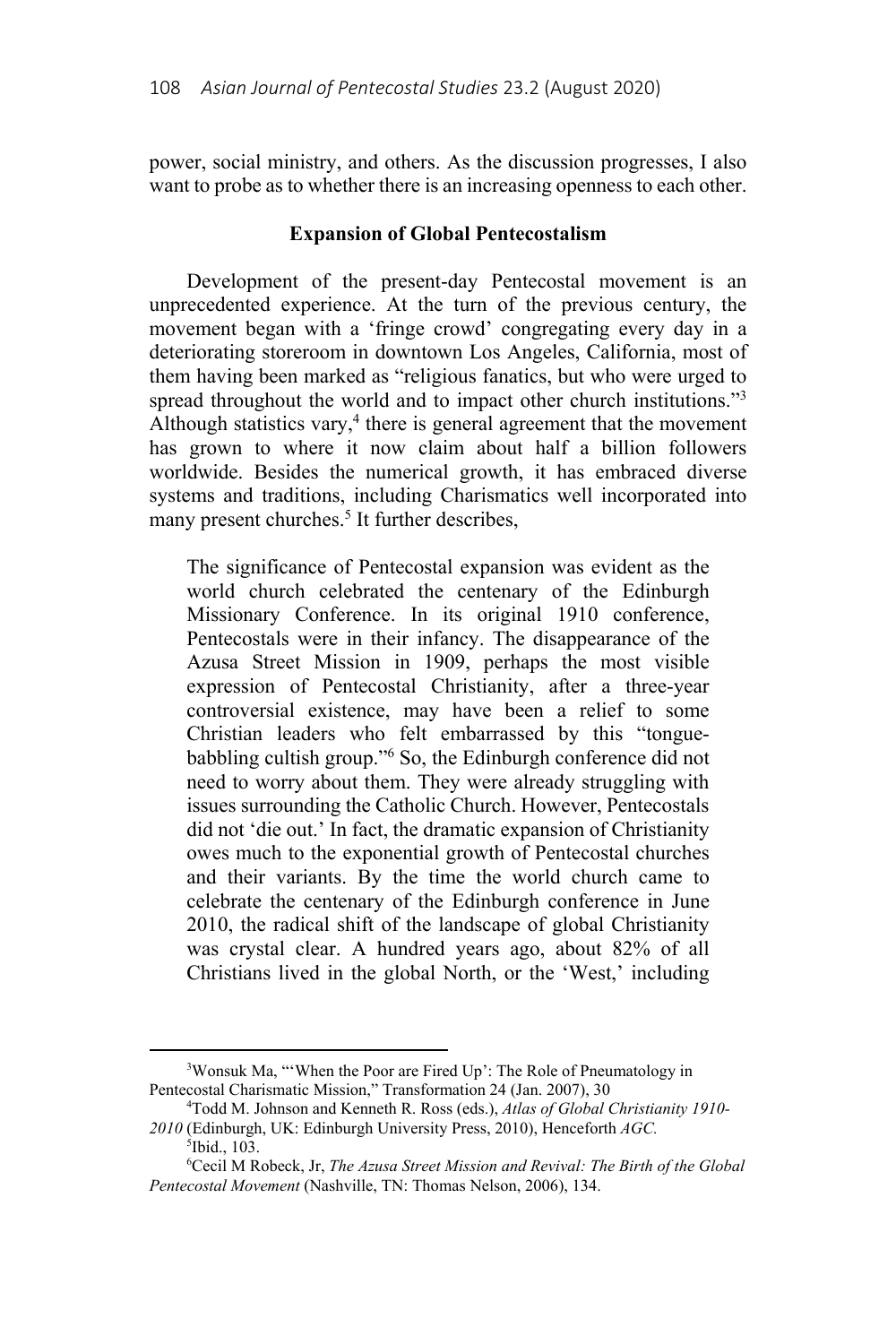power, social ministry, and others. As the discussion progresses, I also want to probe as to whether there is an increasing openness to each other.

### **Expansion of Global Pentecostalism**

Development of the present-day Pentecostal movement is an unprecedented experience. At the turn of the previous century, the movement began with a 'fringe crowd' congregating every day in a deteriorating storeroom in downtown Los Angeles, California, most of them having been marked as "religious fanatics, but who were urged to spread throughout the world and to impact other church institutions."<sup>3</sup> Although statistics vary,<sup>4</sup> there is general agreement that the movement has grown to where it now claim about half a billion followers worldwide. Besides the numerical growth, it has embraced diverse systems and traditions, including Charismatics well incorporated into many present churches.<sup>5</sup> It further describes,

The significance of Pentecostal expansion was evident as the world church celebrated the centenary of the Edinburgh Missionary Conference. In its original 1910 conference, Pentecostals were in their infancy. The disappearance of the Azusa Street Mission in 1909, perhaps the most visible expression of Pentecostal Christianity, after a three-year controversial existence, may have been a relief to some Christian leaders who felt embarrassed by this "tonguebabbling cultish group."6 So, the Edinburgh conference did not need to worry about them. They were already struggling with issues surrounding the Catholic Church. However, Pentecostals did not 'die out.' In fact, the dramatic expansion of Christianity owes much to the exponential growth of Pentecostal churches and their variants. By the time the world church came to celebrate the centenary of the Edinburgh conference in June 2010, the radical shift of the landscape of global Christianity was crystal clear. A hundred years ago, about 82% of all Christians lived in the global North, or the 'West,' including

<sup>&</sup>lt;sup>3</sup>Wonsuk Ma, "'When the Poor are Fired Up': The Role of Pneumatology in Pentecostal Charismatic Mission," Transformation 24 (Jan. 2007), 30

Todd M. Johnson and Kenneth R. Ross (eds.), *Atlas of Global Christianity 1910- 2010* (Edinburgh, UK: Edinburgh University Press, 2010), Henceforth *AGC.*

<sup>5</sup> Ibid., 103.

<sup>6</sup> Cecil M Robeck, Jr, *The Azusa Street Mission and Revival: The Birth of the Global Pentecostal Movement* (Nashville, TN: Thomas Nelson, 2006), 134.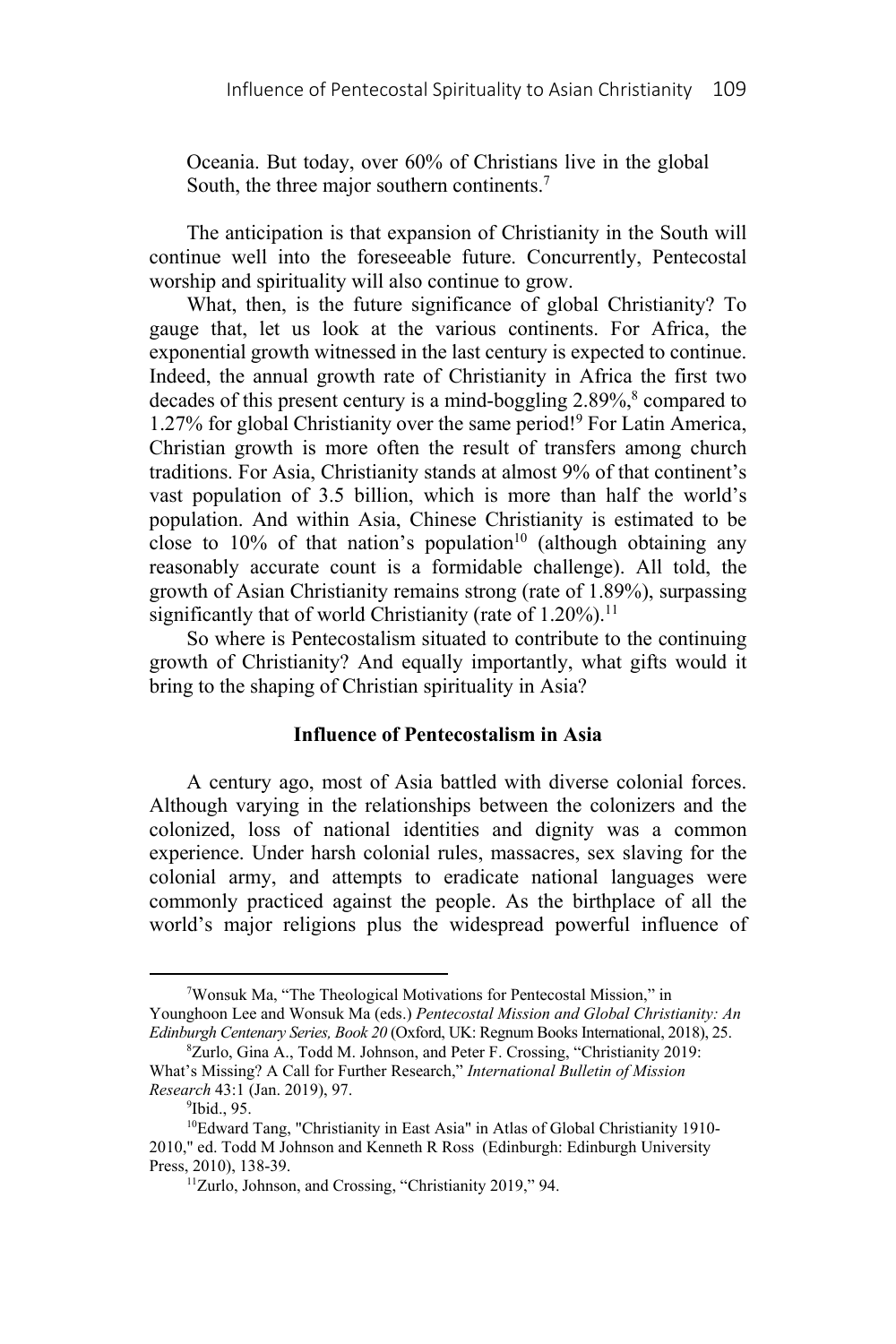Oceania. But today, over 60% of Christians live in the global South, the three major southern continents.<sup>7</sup>

The anticipation is that expansion of Christianity in the South will continue well into the foreseeable future. Concurrently, Pentecostal worship and spirituality will also continue to grow.

What, then, is the future significance of global Christianity? To gauge that, let us look at the various continents. For Africa, the exponential growth witnessed in the last century is expected to continue. Indeed, the annual growth rate of Christianity in Africa the first two decades of this present century is a mind-boggling 2.89%,<sup>8</sup> compared to 1.27% for global Christianity over the same period!9 For Latin America, Christian growth is more often the result of transfers among church traditions. For Asia, Christianity stands at almost 9% of that continent's vast population of 3.5 billion, which is more than half the world's population. And within Asia, Chinese Christianity is estimated to be close to 10% of that nation's population<sup>10</sup> (although obtaining any reasonably accurate count is a formidable challenge). All told, the growth of Asian Christianity remains strong (rate of 1.89%), surpassing significantly that of world Christianity (rate of  $1.20\%$ ).<sup>11</sup>

So where is Pentecostalism situated to contribute to the continuing growth of Christianity? And equally importantly, what gifts would it bring to the shaping of Christian spirituality in Asia?

# **Influence of Pentecostalism in Asia**

A century ago, most of Asia battled with diverse colonial forces. Although varying in the relationships between the colonizers and the colonized, loss of national identities and dignity was a common experience. Under harsh colonial rules, massacres, sex slaving for the colonial army, and attempts to eradicate national languages were commonly practiced against the people. As the birthplace of all the world's major religions plus the widespread powerful influence of

<sup>7</sup> Wonsuk Ma, "The Theological Motivations for Pentecostal Mission," in Younghoon Lee and Wonsuk Ma (eds.) *Pentecostal Mission and Global Christianity: An Edinburgh Centenary Series, Book 20* (Oxford, UK: Regnum Books International, 2018), 25. 8

Zurlo, Gina A., Todd M. Johnson, and Peter F. Crossing, "Christianity 2019: What's Missing? A Call for Further Research," *International Bulletin of Mission Research* 43:1 (Jan. 2019), 97.

<sup>&</sup>lt;sup>9</sup>Ibid., 95.

<sup>&</sup>lt;sup>10</sup>Edward Tang, "Christianity in East Asia" in Atlas of Global Christianity 1910-2010," ed. Todd M Johnson and Kenneth R Ross (Edinburgh: Edinburgh University Press, 2010), 138-39.<br><sup>11</sup>Zurlo, Johnson, and Crossing, "Christianity 2019," 94.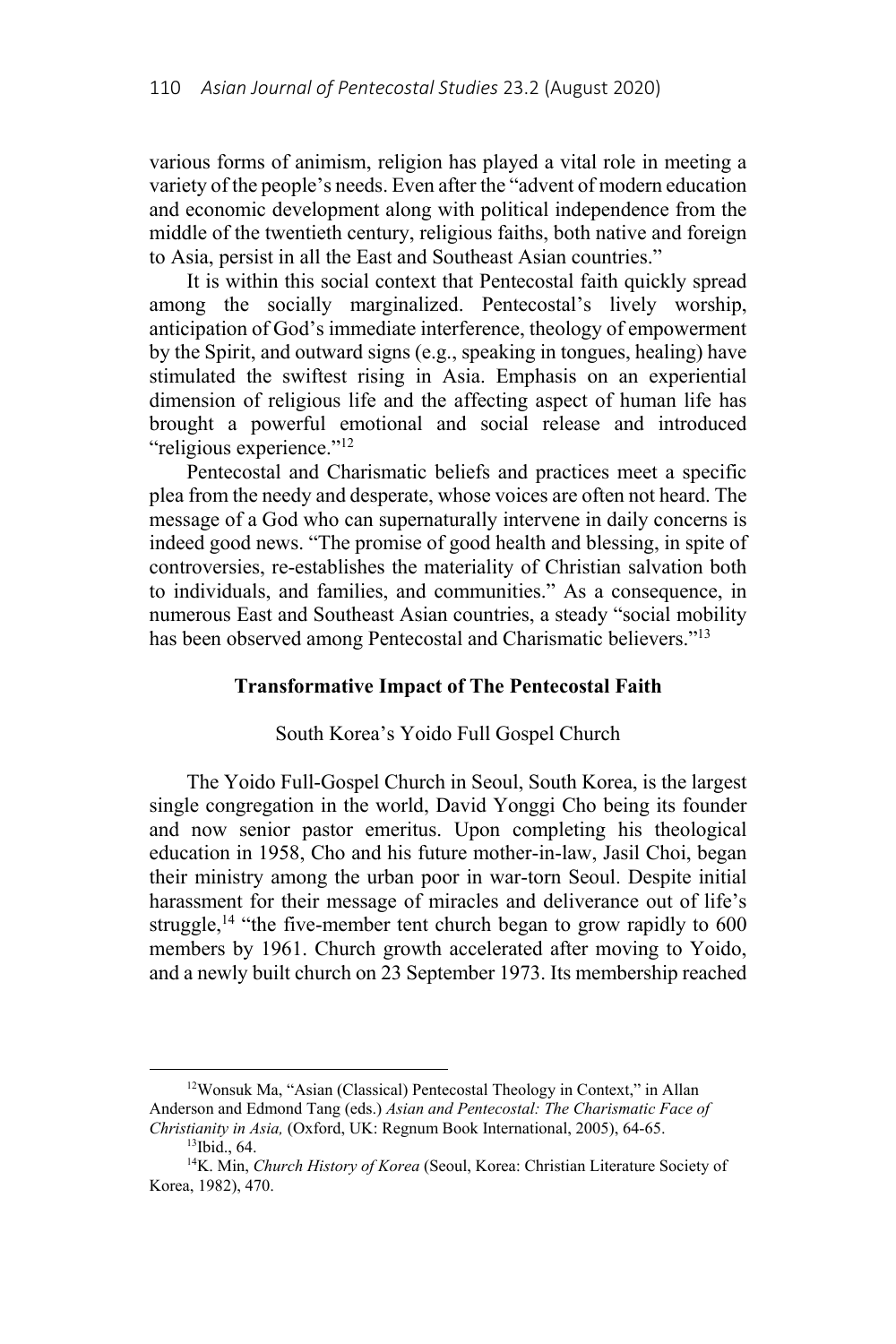various forms of animism, religion has played a vital role in meeting a variety of the people's needs. Even after the "advent of modern education and economic development along with political independence from the middle of the twentieth century, religious faiths, both native and foreign to Asia, persist in all the East and Southeast Asian countries."

It is within this social context that Pentecostal faith quickly spread among the socially marginalized. Pentecostal's lively worship, anticipation of God's immediate interference, theology of empowerment by the Spirit, and outward signs (e.g., speaking in tongues, healing) have stimulated the swiftest rising in Asia. Emphasis on an experiential dimension of religious life and the affecting aspect of human life has brought a powerful emotional and social release and introduced "religious experience."12

Pentecostal and Charismatic beliefs and practices meet a specific plea from the needy and desperate, whose voices are often not heard. The message of a God who can supernaturally intervene in daily concerns is indeed good news. "The promise of good health and blessing, in spite of controversies, re-establishes the materiality of Christian salvation both to individuals, and families, and communities." As a consequence, in numerous East and Southeast Asian countries, a steady "social mobility has been observed among Pentecostal and Charismatic believers."<sup>13</sup>

#### **Transformative Impact of The Pentecostal Faith**

#### South Korea's Yoido Full Gospel Church

The Yoido Full-Gospel Church in Seoul, South Korea, is the largest single congregation in the world, David Yonggi Cho being its founder and now senior pastor emeritus. Upon completing his theological education in 1958, Cho and his future mother-in-law, Jasil Choi, began their ministry among the urban poor in war-torn Seoul. Despite initial harassment for their message of miracles and deliverance out of life's struggle,<sup>14</sup> "the five-member tent church began to grow rapidly to  $600$ members by 1961. Church growth accelerated after moving to Yoido, and a newly built church on 23 September 1973. Its membership reached

<sup>&</sup>lt;sup>12</sup>Wonsuk Ma, "Asian (Classical) Pentecostal Theology in Context," in Allan Anderson and Edmond Tang (eds.) *Asian and Pentecostal: The Charismatic Face of Christianity in Asia,* (Oxford, UK: Regnum Book International, 2005), 64-65. 13Ibid., 64.

<sup>&</sup>lt;sup>14</sup>K. Min, *Church History of Korea* (Seoul, Korea: Christian Literature Society of Korea, 1982), 470.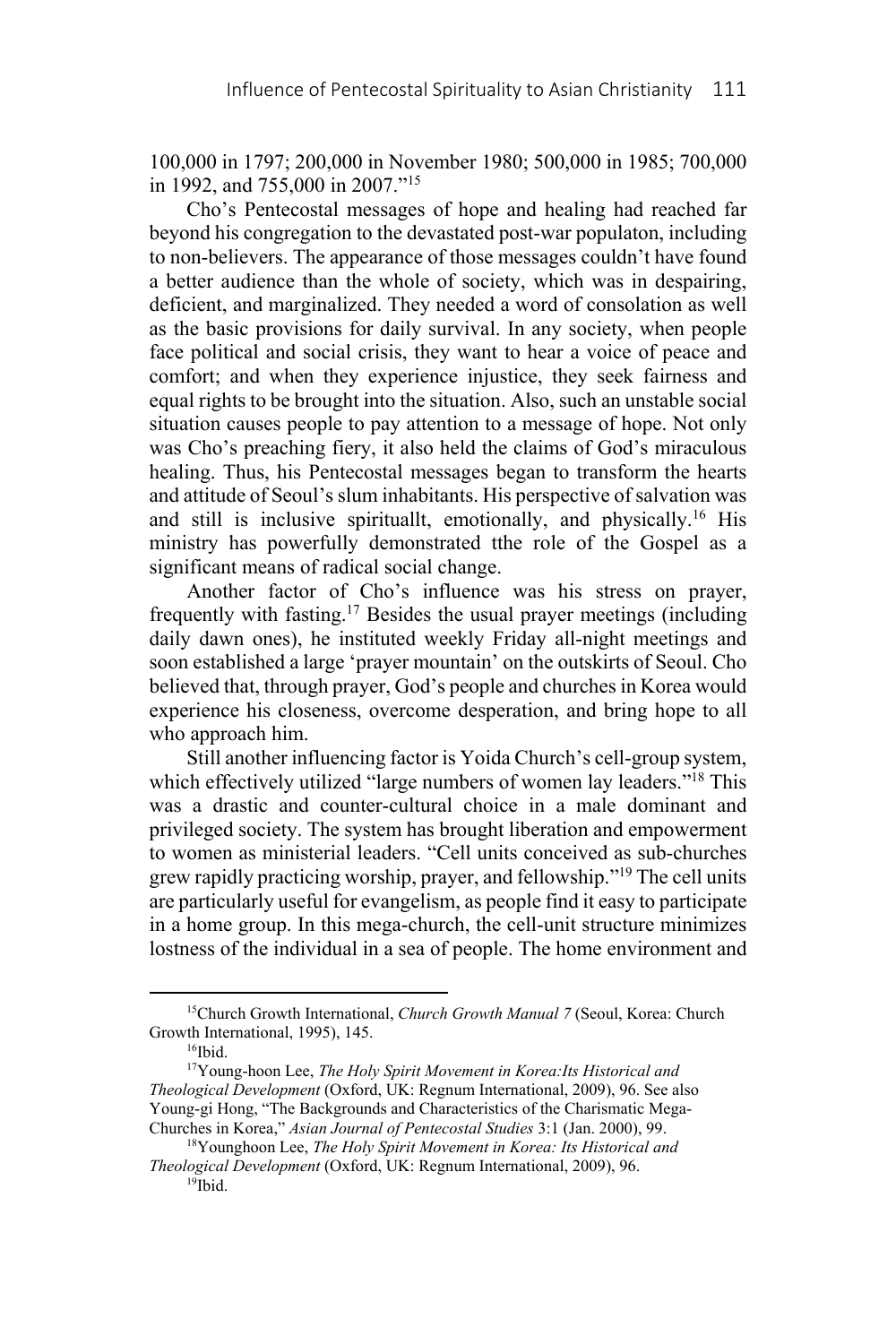100,000 in 1797; 200,000 in November 1980; 500,000 in 1985; 700,000 in 1992, and 755,000 in 2007."15

Cho's Pentecostal messages of hope and healing had reached far beyond his congregation to the devastated post-war populaton, including to non-believers. The appearance of those messages couldn't have found a better audience than the whole of society, which was in despairing, deficient, and marginalized. They needed a word of consolation as well as the basic provisions for daily survival. In any society, when people face political and social crisis, they want to hear a voice of peace and comfort; and when they experience injustice, they seek fairness and equal rights to be brought into the situation. Also, such an unstable social situation causes people to pay attention to a message of hope. Not only was Cho's preaching fiery, it also held the claims of God's miraculous healing. Thus, his Pentecostal messages began to transform the hearts and attitude of Seoul's slum inhabitants. His perspective of salvation was and still is inclusive spirituallt, emotionally, and physically. 16 His ministry has powerfully demonstrated tthe role of the Gospel as a significant means of radical social change.

Another factor of Cho's influence was his stress on prayer, frequently with fasting.17 Besides the usual prayer meetings (including daily dawn ones), he instituted weekly Friday all-night meetings and soon established a large 'prayer mountain' on the outskirts of Seoul. Cho believed that, through prayer, God's people and churches in Korea would experience his closeness, overcome desperation, and bring hope to all who approach him.

Still another influencing factor is Yoida Church's cell-group system, which effectively utilized "large numbers of women lay leaders."<sup>18</sup> This was a drastic and counter-cultural choice in a male dominant and privileged society. The system has brought liberation and empowerment to women as ministerial leaders. "Cell units conceived as sub-churches grew rapidly practicing worship, prayer, and fellowship."19 The cell units are particularly useful for evangelism, as people find it easy to participate in a home group. In this mega-church, the cell-unit structure minimizes lostness of the individual in a sea of people. The home environment and

<sup>15</sup>Church Growth International, *Church Growth Manual 7* (Seoul, Korea: Church Growth International, 1995), 145.<br><sup>16</sup>Ibid.

<sup>17</sup>Young-hoon Lee, *The Holy Spirit Movement in Korea:Its Historical and Theological Development* (Oxford, UK: Regnum International, 2009), 96. See also Young-gi Hong, "The Backgrounds and Characteristics of the Charismatic Mega-Churches in Korea," *Asian Journal of Pentecostal Studies* 3:1 (Jan. 2000), 99.

 <sup>18</sup>Younghoon Lee, *The Holy Spirit Movement in Korea: Its Historical and Theological Development* (Oxford, UK: Regnum International, 2009), 96. 19Ibid.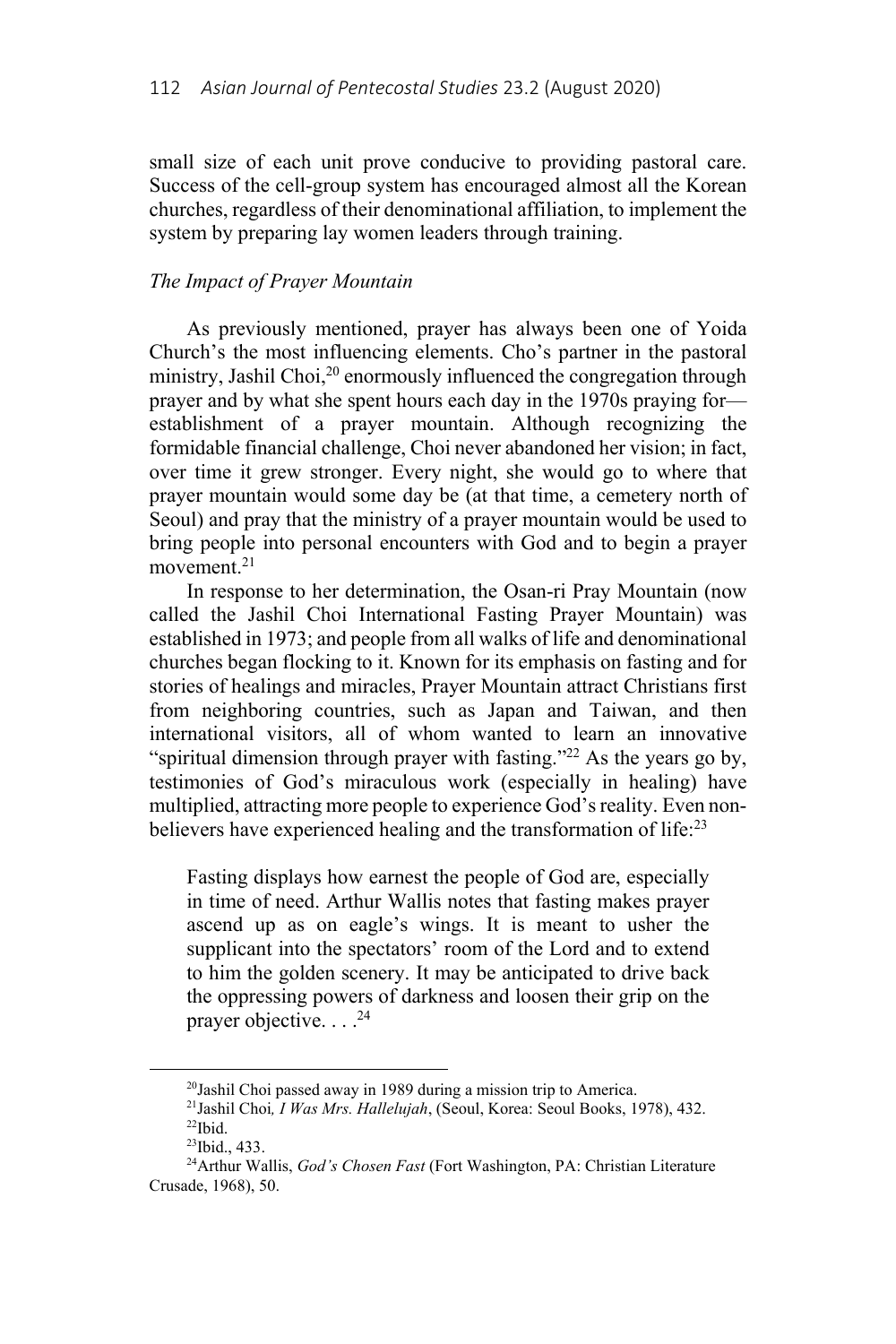small size of each unit prove conducive to providing pastoral care. Success of the cell-group system has encouraged almost all the Korean churches, regardless of their denominational affiliation, to implement the system by preparing lay women leaders through training.

# *The Impact of Prayer Mountain*

As previously mentioned, prayer has always been one of Yoida Church's the most influencing elements. Cho's partner in the pastoral ministry, Jashil Choi, $2^0$  enormously influenced the congregation through prayer and by what she spent hours each day in the 1970s praying for establishment of a prayer mountain. Although recognizing the formidable financial challenge, Choi never abandoned her vision; in fact, over time it grew stronger. Every night, she would go to where that prayer mountain would some day be (at that time, a cemetery north of Seoul) and pray that the ministry of a prayer mountain would be used to bring people into personal encounters with God and to begin a prayer movement.<sup>21</sup>

In response to her determination, the Osan-ri Pray Mountain (now called the Jashil Choi International Fasting Prayer Mountain) was established in 1973; and people from all walks of life and denominational churches began flocking to it. Known for its emphasis on fasting and for stories of healings and miracles, Prayer Mountain attract Christians first from neighboring countries, such as Japan and Taiwan, and then international visitors, all of whom wanted to learn an innovative "spiritual dimension through prayer with fasting."<sup>22</sup> As the years go by, testimonies of God's miraculous work (especially in healing) have multiplied, attracting more people to experience God's reality. Even nonbelievers have experienced healing and the transformation of life: $^{23}$ 

Fasting displays how earnest the people of God are, especially in time of need. Arthur Wallis notes that fasting makes prayer ascend up as on eagle's wings. It is meant to usher the supplicant into the spectators' room of the Lord and to extend to him the golden scenery. It may be anticipated to drive back the oppressing powers of darkness and loosen their grip on the prayer objective.  $\ldots$ <sup>24</sup>

<sup>20</sup>Jashil Choi passed away in 1989 during a mission trip to America. 21Jashil Choi*, I Was Mrs. Hallelujah*, (Seoul, Korea: Seoul Books, 1978), 432.

 $\rm ^{22}Ibid.$ 

<sup>23</sup>Ibid., 433.

<sup>&</sup>lt;sup>24</sup>Arthur Wallis, *God's Chosen Fast* (Fort Washington, PA: Christian Literature Crusade, 1968), 50.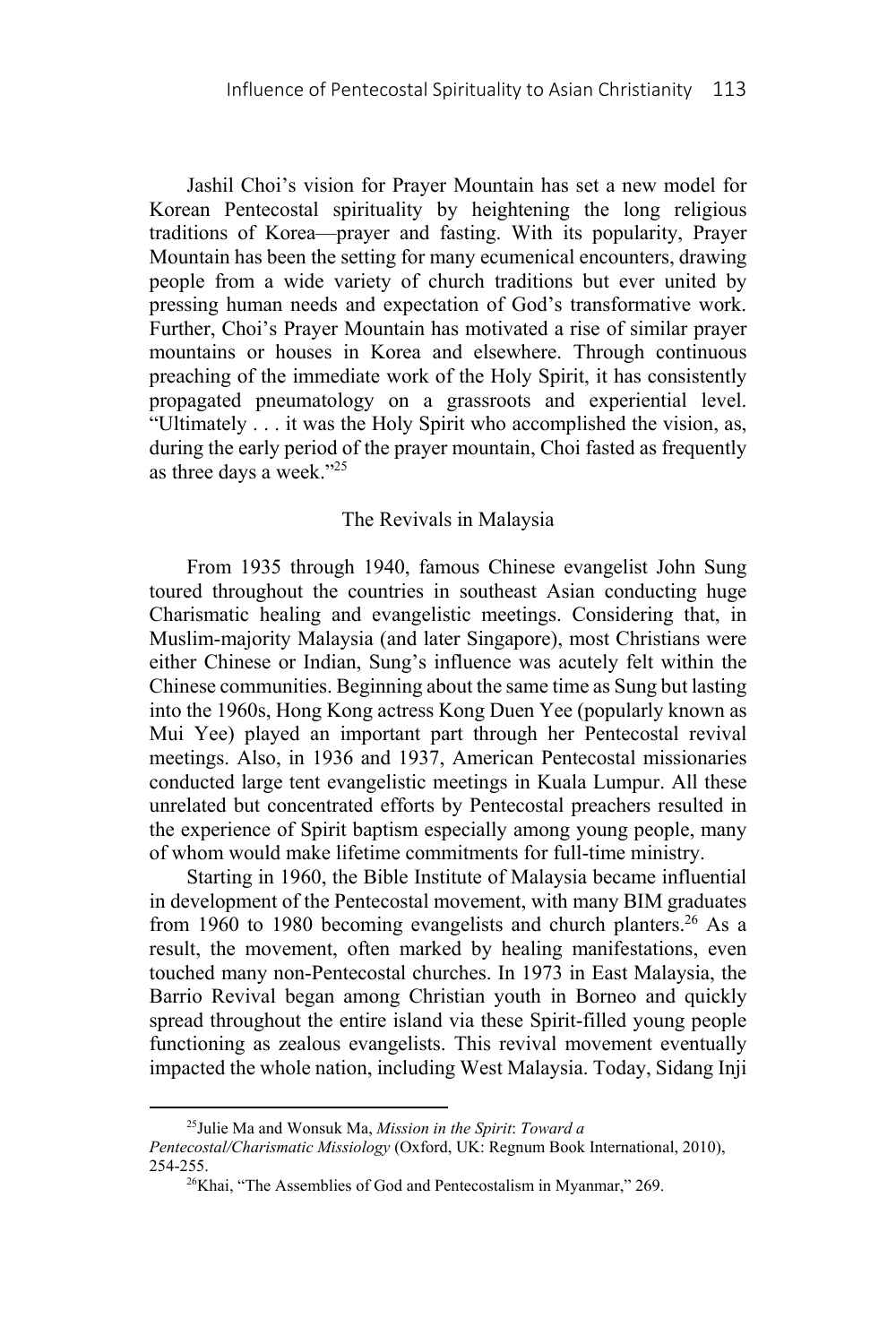Jashil Choi's vision for Prayer Mountain has set a new model for Korean Pentecostal spirituality by heightening the long religious traditions of Korea—prayer and fasting. With its popularity, Prayer Mountain has been the setting for many ecumenical encounters, drawing people from a wide variety of church traditions but ever united by pressing human needs and expectation of God's transformative work. Further, Choi's Prayer Mountain has motivated a rise of similar prayer mountains or houses in Korea and elsewhere. Through continuous preaching of the immediate work of the Holy Spirit, it has consistently propagated pneumatology on a grassroots and experiential level. "Ultimately . . . it was the Holy Spirit who accomplished the vision, as, during the early period of the prayer mountain, Choi fasted as frequently as three days a week."25

#### The Revivals in Malaysia

From 1935 through 1940, famous Chinese evangelist John Sung toured throughout the countries in southeast Asian conducting huge Charismatic healing and evangelistic meetings. Considering that, in Muslim-majority Malaysia (and later Singapore), most Christians were either Chinese or Indian, Sung's influence was acutely felt within the Chinese communities. Beginning about the same time as Sung but lasting into the 1960s, Hong Kong actress Kong Duen Yee (popularly known as Mui Yee) played an important part through her Pentecostal revival meetings. Also, in 1936 and 1937, American Pentecostal missionaries conducted large tent evangelistic meetings in Kuala Lumpur. All these unrelated but concentrated efforts by Pentecostal preachers resulted in the experience of Spirit baptism especially among young people, many of whom would make lifetime commitments for full-time ministry.

Starting in 1960, the Bible Institute of Malaysia became influential in development of the Pentecostal movement, with many BIM graduates from 1960 to 1980 becoming evangelists and church planters.<sup>26</sup> As a result, the movement, often marked by healing manifestations, even touched many non-Pentecostal churches. In 1973 in East Malaysia, the Barrio Revival began among Christian youth in Borneo and quickly spread throughout the entire island via these Spirit-filled young people functioning as zealous evangelists. This revival movement eventually impacted the whole nation, including West Malaysia. Today, Sidang Inji

<sup>25</sup>Julie Ma and Wonsuk Ma, *Mission in the Spirit*: *Toward a Pentecostal/Charismatic Missiology* (Oxford, UK: Regnum Book International, 2010), 254-255. 26Khai, "The Assemblies of God and Pentecostalism in Myanmar," 269.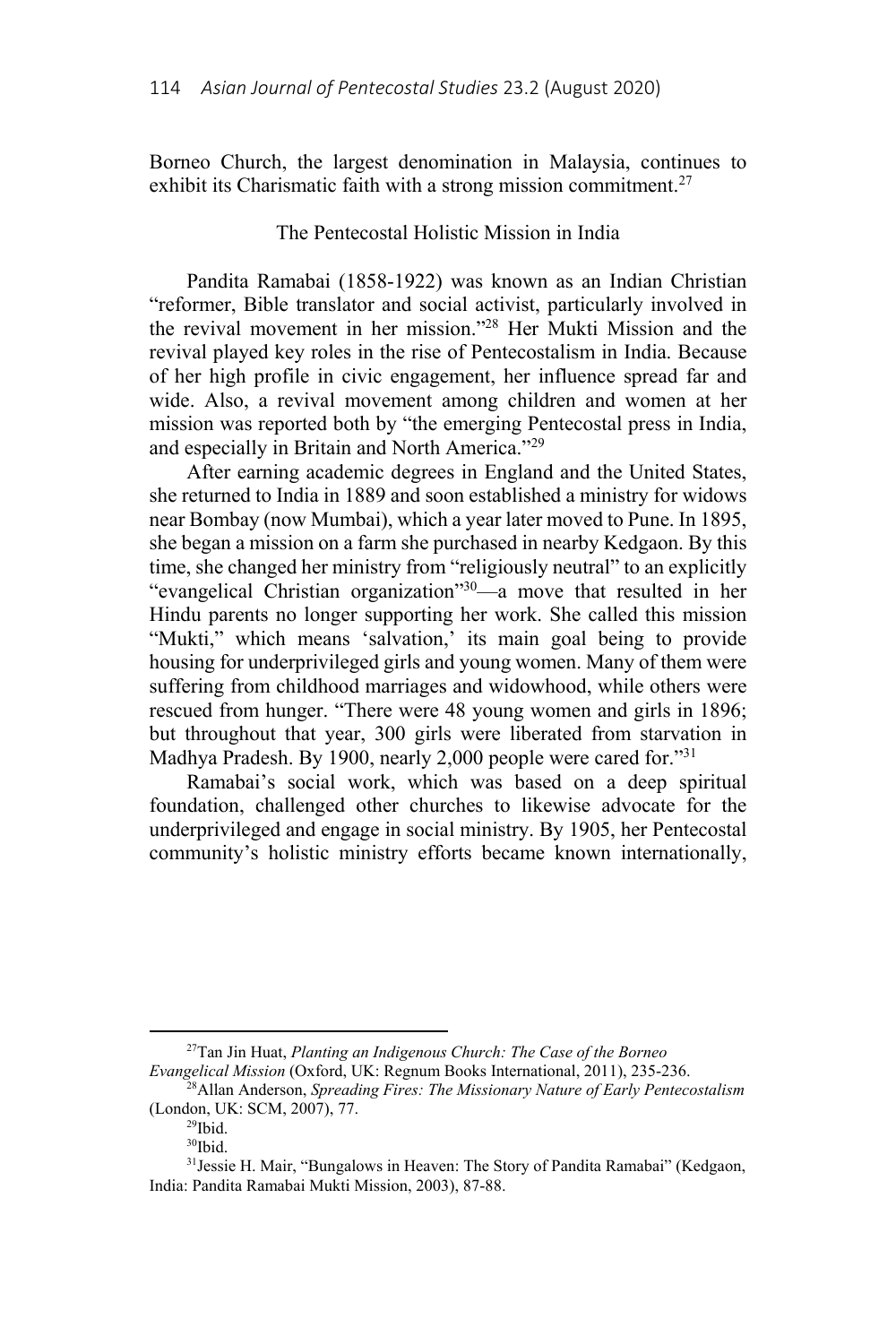Borneo Church, the largest denomination in Malaysia, continues to exhibit its Charismatic faith with a strong mission commitment.<sup>27</sup>

## The Pentecostal Holistic Mission in India

Pandita Ramabai (1858-1922) was known as an Indian Christian "reformer, Bible translator and social activist, particularly involved in the revival movement in her mission."28 Her Mukti Mission and the revival played key roles in the rise of Pentecostalism in India. Because of her high profile in civic engagement, her influence spread far and wide. Also, a revival movement among children and women at her mission was reported both by "the emerging Pentecostal press in India, and especially in Britain and North America."29

After earning academic degrees in England and the United States, she returned to India in 1889 and soon established a ministry for widows near Bombay (now Mumbai), which a year later moved to Pune. In 1895, she began a mission on a farm she purchased in nearby Kedgaon. By this time, she changed her ministry from "religiously neutral" to an explicitly "evangelical Christian organization"30—a move that resulted in her Hindu parents no longer supporting her work. She called this mission "Mukti," which means 'salvation,' its main goal being to provide housing for underprivileged girls and young women. Many of them were suffering from childhood marriages and widowhood, while others were rescued from hunger. "There were 48 young women and girls in 1896; but throughout that year, 300 girls were liberated from starvation in Madhya Pradesh. By 1900, nearly 2,000 people were cared for."31

Ramabai's social work, which was based on a deep spiritual foundation, challenged other churches to likewise advocate for the underprivileged and engage in social ministry. By 1905, her Pentecostal community's holistic ministry efforts became known internationally,

<sup>27</sup>Tan Jin Huat, *Planting an Indigenous Church: The Case of the Borneo Evangelical Mission* (Oxford, UK: Regnum Books International, 2011), 235-236.

 <sup>28</sup>Allan Anderson, *Spreading Fires: The Missionary Nature of Early Pentecostalism* (London, UK: SCM, 2007), 77.<br><sup>29</sup>Ibid.

<sup>30</sup>Ibid.

<sup>31</sup>Jessie H. Mair, "Bungalows in Heaven: The Story of Pandita Ramabai" (Kedgaon, India: Pandita Ramabai Mukti Mission, 2003), 87-88.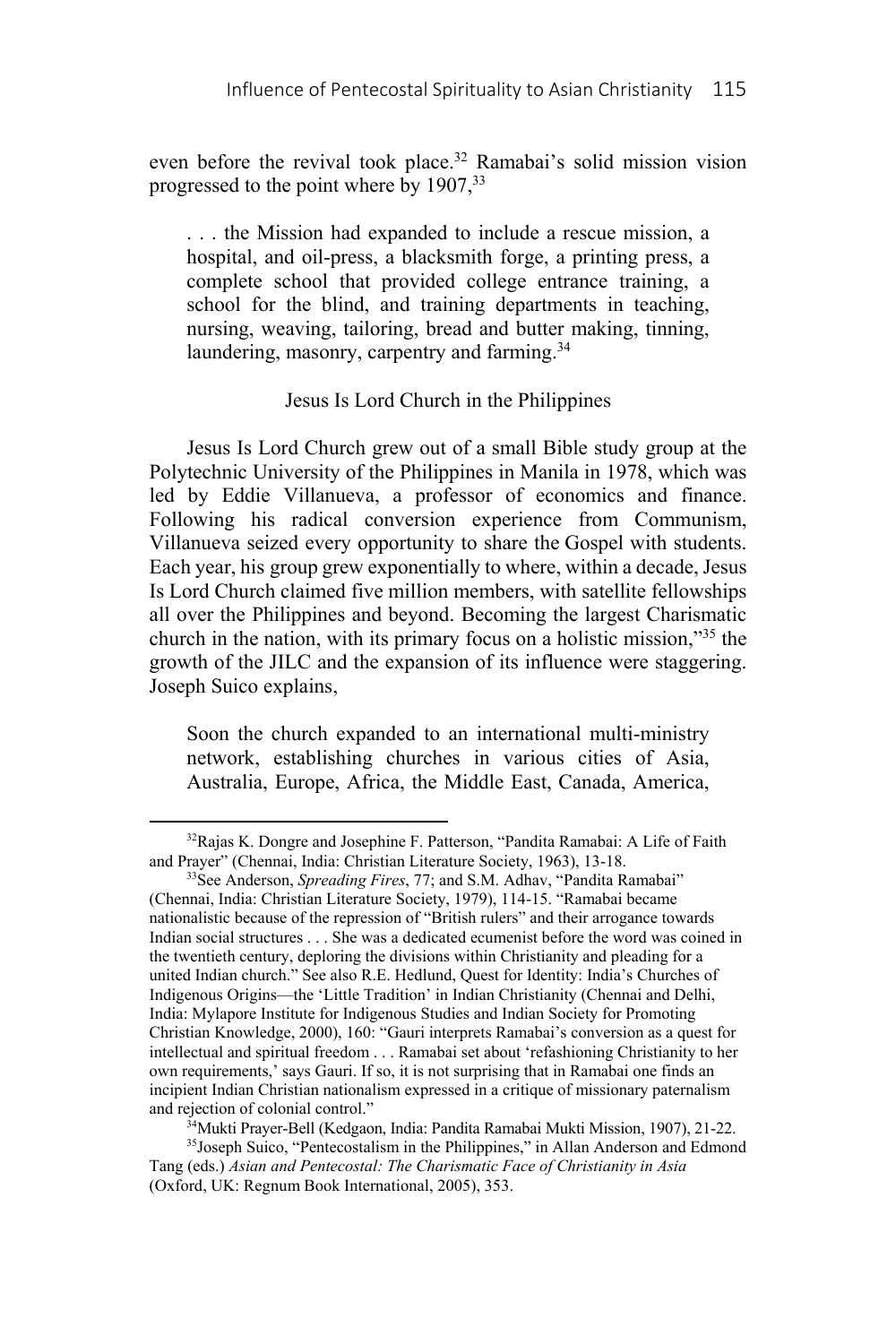even before the revival took place.<sup>32</sup> Ramabai's solid mission vision progressed to the point where by 1907,33

. . . the Mission had expanded to include a rescue mission, a hospital, and oil-press, a blacksmith forge, a printing press, a complete school that provided college entrance training, a school for the blind, and training departments in teaching, nursing, weaving, tailoring, bread and butter making, tinning, laundering, masonry, carpentry and farming.<sup>34</sup>

## Jesus Is Lord Church in the Philippines

Jesus Is Lord Church grew out of a small Bible study group at the Polytechnic University of the Philippines in Manila in 1978, which was led by Eddie Villanueva, a professor of economics and finance. Following his radical conversion experience from Communism, Villanueva seized every opportunity to share the Gospel with students. Each year, his group grew exponentially to where, within a decade, Jesus Is Lord Church claimed five million members, with satellite fellowships all over the Philippines and beyond. Becoming the largest Charismatic church in the nation, with its primary focus on a holistic mission,"35 the growth of the JILC and the expansion of its influence were staggering. Joseph Suico explains,

Soon the church expanded to an international multi-ministry network, establishing churches in various cities of Asia, Australia, Europe, Africa, the Middle East, Canada, America,

 $\overline{\phantom{a}}$ 

<sup>34</sup>Mukti Prayer-Bell (Kedgaon, India: Pandita Ramabai Mukti Mission, 1907), 21-22.<br><sup>35</sup>Joseph Suico, "Pentecostalism in the Philippines," in Allan Anderson and Edmond

<sup>&</sup>lt;sup>32</sup>Rajas K. Dongre and Josephine F. Patterson, "Pandita Ramabai: A Life of Faith and Prayer" (Chennai, India: Christian Literature Society, 1963), 13-18. 33See Anderson, *Spreading Fires*, 77; and S.M. Adhav, "Pandita Ramabai"

<sup>(</sup>Chennai, India: Christian Literature Society, 1979), 114-15. "Ramabai became nationalistic because of the repression of "British rulers" and their arrogance towards Indian social structures . . . She was a dedicated ecumenist before the word was coined in the twentieth century, deploring the divisions within Christianity and pleading for a united Indian church." See also R.E. Hedlund, Quest for Identity: India's Churches of Indigenous Origins—the 'Little Tradition' in Indian Christianity (Chennai and Delhi, India: Mylapore Institute for Indigenous Studies and Indian Society for Promoting Christian Knowledge, 2000), 160: "Gauri interprets Ramabai's conversion as a quest for intellectual and spiritual freedom . . . Ramabai set about 'refashioning Christianity to her own requirements,' says Gauri. If so, it is not surprising that in Ramabai one finds an incipient Indian Christian nationalism expressed in a critique of missionary paternalism

Tang (eds.) *Asian and Pentecostal: The Charismatic Face of Christianity in Asia* (Oxford, UK: Regnum Book International, 2005), 353.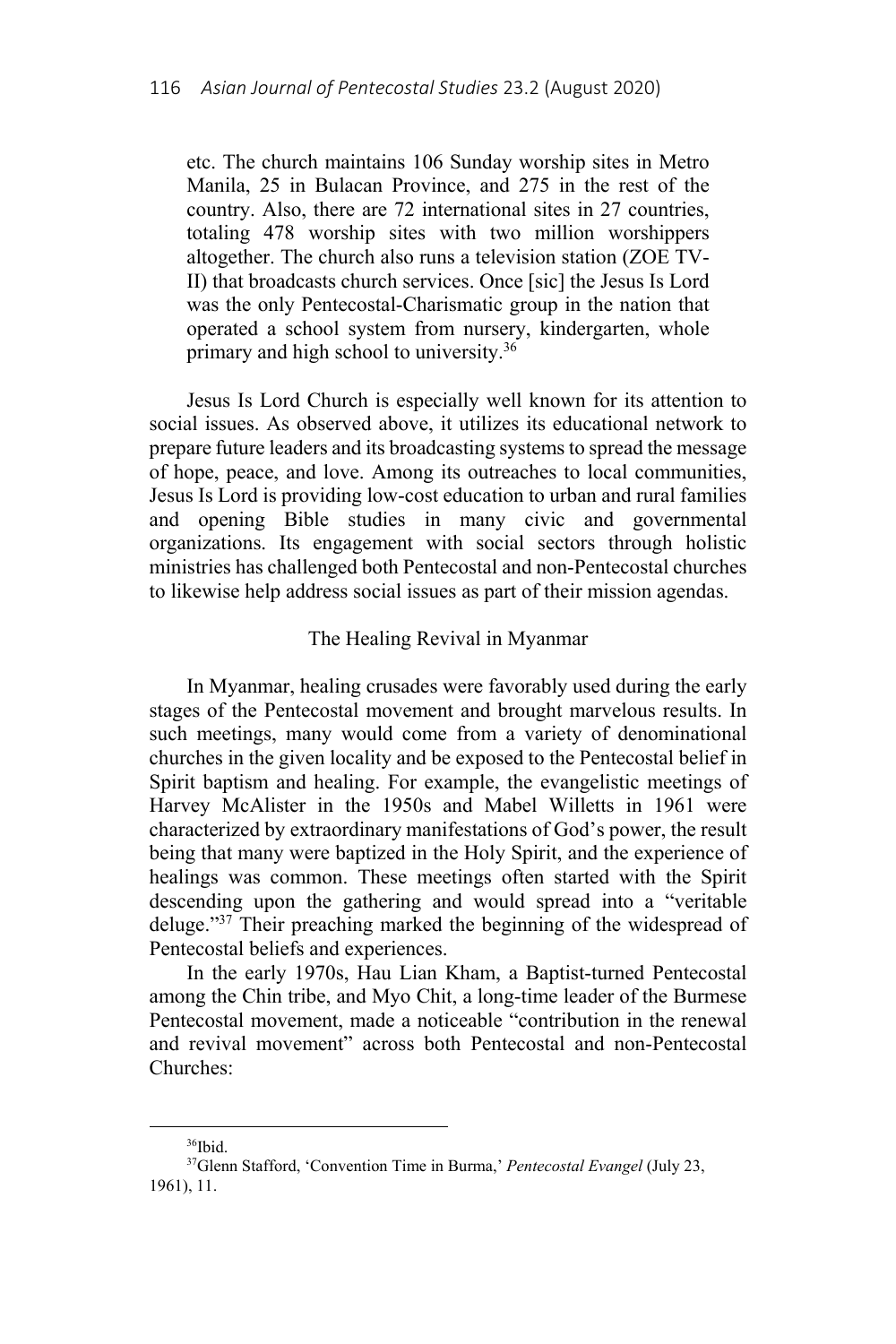etc. The church maintains 106 Sunday worship sites in Metro Manila, 25 in Bulacan Province, and 275 in the rest of the country. Also, there are 72 international sites in 27 countries, totaling 478 worship sites with two million worshippers altogether. The church also runs a television station (ZOE TV-II) that broadcasts church services. Once [sic] the Jesus Is Lord was the only Pentecostal-Charismatic group in the nation that operated a school system from nursery, kindergarten, whole primary and high school to university.36

Jesus Is Lord Church is especially well known for its attention to social issues. As observed above, it utilizes its educational network to prepare future leaders and its broadcasting systems to spread the message of hope, peace, and love. Among its outreaches to local communities, Jesus Is Lord is providing low-cost education to urban and rural families and opening Bible studies in many civic and governmental organizations. Its engagement with social sectors through holistic ministries has challenged both Pentecostal and non-Pentecostal churches to likewise help address social issues as part of their mission agendas.

### The Healing Revival in Myanmar

In Myanmar, healing crusades were favorably used during the early stages of the Pentecostal movement and brought marvelous results. In such meetings, many would come from a variety of denominational churches in the given locality and be exposed to the Pentecostal belief in Spirit baptism and healing. For example, the evangelistic meetings of Harvey McAlister in the 1950s and Mabel Willetts in 1961 were characterized by extraordinary manifestations of God's power, the result being that many were baptized in the Holy Spirit, and the experience of healings was common. These meetings often started with the Spirit descending upon the gathering and would spread into a "veritable deluge."<sup>37</sup> Their preaching marked the beginning of the widespread of Pentecostal beliefs and experiences.

In the early 1970s, Hau Lian Kham, a Baptist-turned Pentecostal among the Chin tribe, and Myo Chit, a long-time leader of the Burmese Pentecostal movement, made a noticeable "contribution in the renewal and revival movement" across both Pentecostal and non-Pentecostal Churches:

 $\overline{a}$ 

<sup>36</sup>Ibid.

<sup>37</sup>Glenn Stafford, 'Convention Time in Burma,' *Pentecostal Evangel* (July 23, 1961), 11.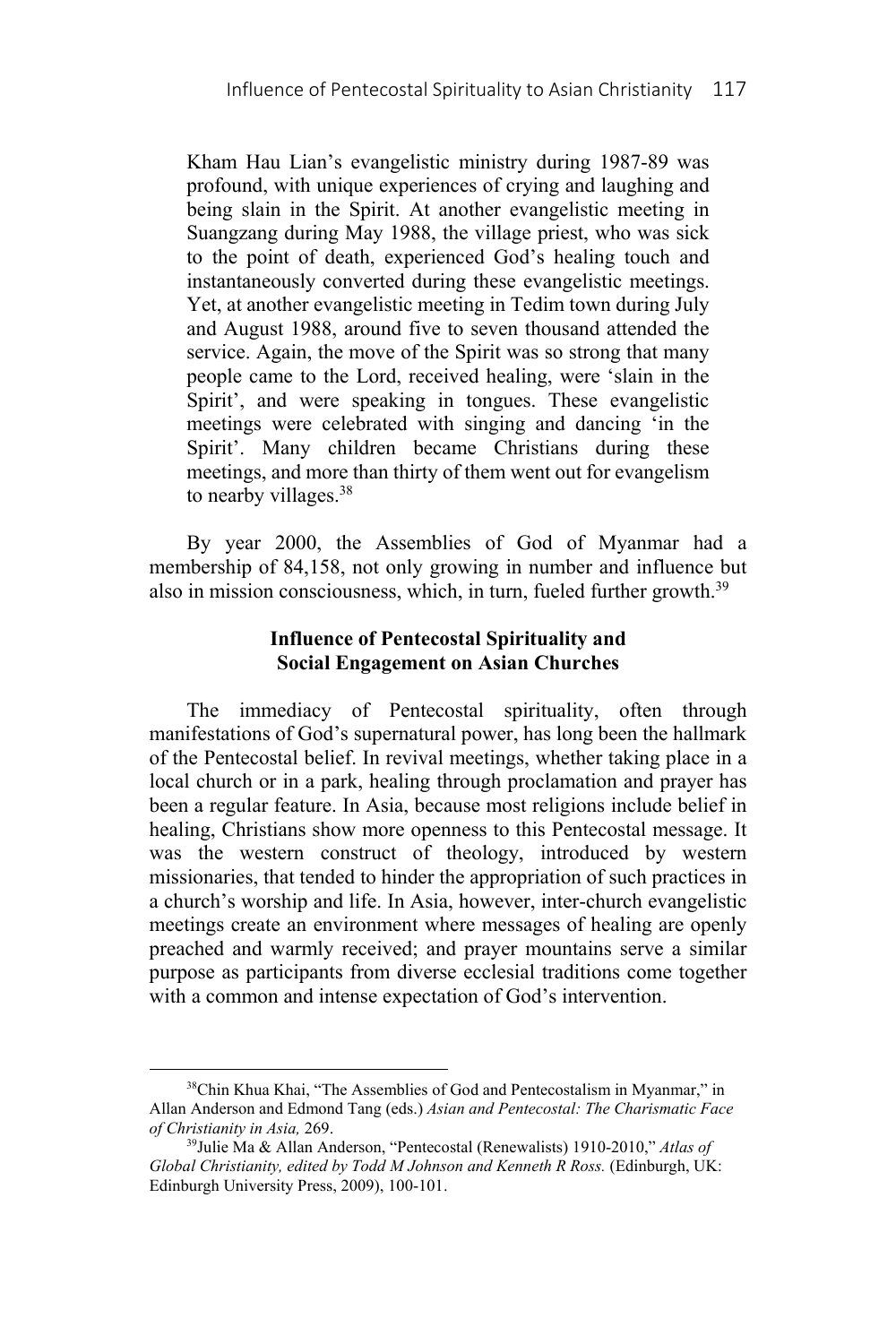Kham Hau Lian's evangelistic ministry during 1987-89 was profound, with unique experiences of crying and laughing and being slain in the Spirit. At another evangelistic meeting in Suangzang during May 1988, the village priest, who was sick to the point of death, experienced God's healing touch and instantaneously converted during these evangelistic meetings. Yet, at another evangelistic meeting in Tedim town during July and August 1988, around five to seven thousand attended the service. Again, the move of the Spirit was so strong that many people came to the Lord, received healing, were 'slain in the Spirit', and were speaking in tongues. These evangelistic meetings were celebrated with singing and dancing 'in the Spirit'. Many children became Christians during these meetings, and more than thirty of them went out for evangelism to nearby villages.<sup>38</sup>

By year 2000, the Assemblies of God of Myanmar had a membership of 84,158, not only growing in number and influence but also in mission consciousness, which, in turn, fueled further growth.<sup>39</sup>

## **Influence of Pentecostal Spirituality and Social Engagement on Asian Churches**

The immediacy of Pentecostal spirituality, often through manifestations of God's supernatural power, has long been the hallmark of the Pentecostal belief. In revival meetings, whether taking place in a local church or in a park, healing through proclamation and prayer has been a regular feature. In Asia, because most religions include belief in healing, Christians show more openness to this Pentecostal message. It was the western construct of theology, introduced by western missionaries, that tended to hinder the appropriation of such practices in a church's worship and life. In Asia, however, inter-church evangelistic meetings create an environment where messages of healing are openly preached and warmly received; and prayer mountains serve a similar purpose as participants from diverse ecclesial traditions come together with a common and intense expectation of God's intervention.

<sup>38</sup>Chin Khua Khai, "The Assemblies of God and Pentecostalism in Myanmar," in Allan Anderson and Edmond Tang (eds.) *Asian and Pentecostal: The Charismatic Face of Christianity in Asia,* 269. 39Julie Ma & Allan Anderson, "Pentecostal (Renewalists) 1910-2010," *Atlas of* 

*Global Christianity, edited by Todd M Johnson and Kenneth R Ross.* (Edinburgh, UK: Edinburgh University Press, 2009), 100-101.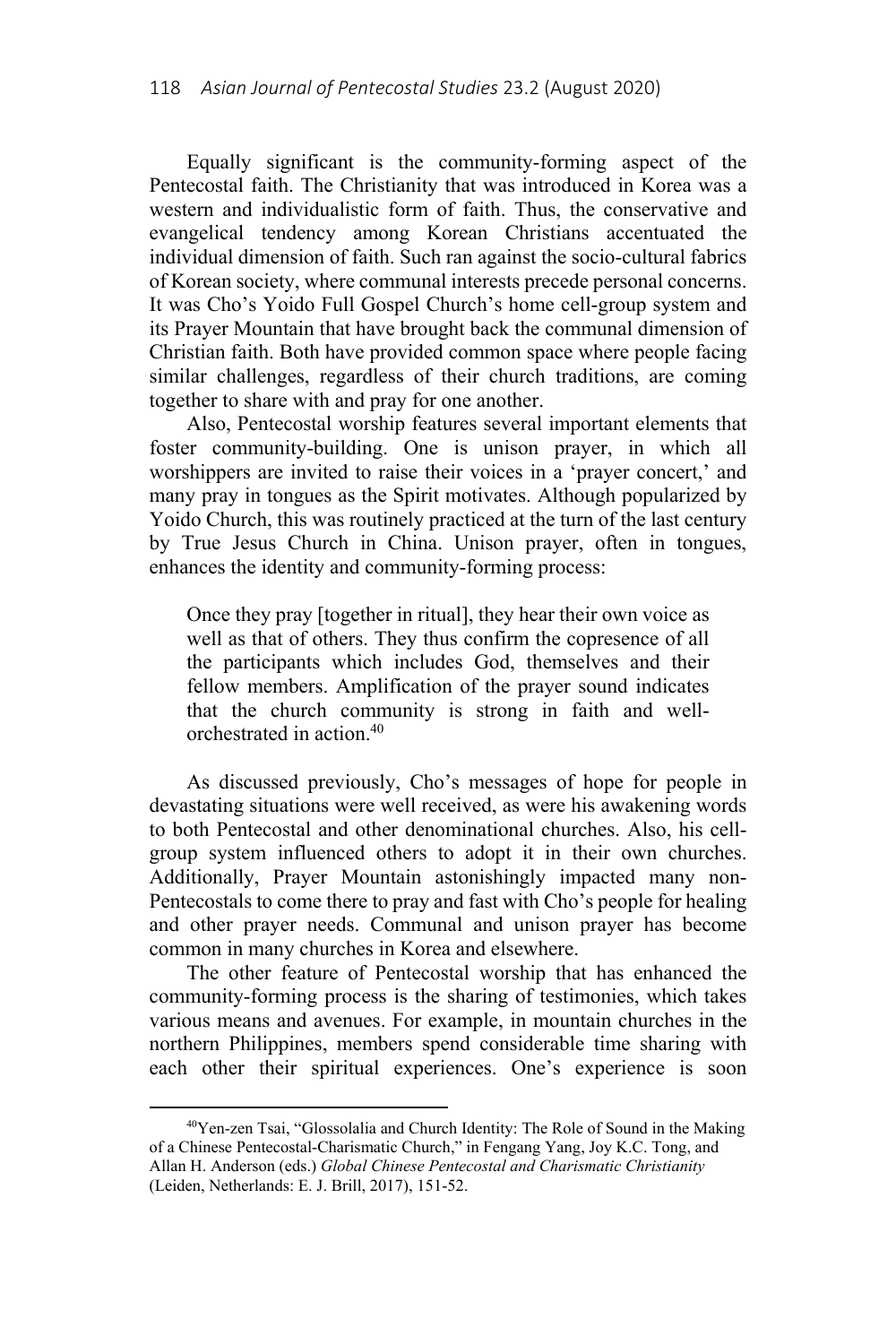Equally significant is the community-forming aspect of the Pentecostal faith. The Christianity that was introduced in Korea was a western and individualistic form of faith. Thus, the conservative and evangelical tendency among Korean Christians accentuated the individual dimension of faith. Such ran against the socio-cultural fabrics of Korean society, where communal interests precede personal concerns. It was Cho's Yoido Full Gospel Church's home cell-group system and its Prayer Mountain that have brought back the communal dimension of Christian faith. Both have provided common space where people facing similar challenges, regardless of their church traditions, are coming together to share with and pray for one another.

Also, Pentecostal worship features several important elements that foster community-building. One is unison prayer, in which all worshippers are invited to raise their voices in a 'prayer concert,' and many pray in tongues as the Spirit motivates. Although popularized by Yoido Church, this was routinely practiced at the turn of the last century by True Jesus Church in China. Unison prayer, often in tongues, enhances the identity and community-forming process:

Once they pray [together in ritual], they hear their own voice as well as that of others. They thus confirm the copresence of all the participants which includes God, themselves and their fellow members. Amplification of the prayer sound indicates that the church community is strong in faith and wellorchestrated in action.40

As discussed previously, Cho's messages of hope for people in devastating situations were well received, as were his awakening words to both Pentecostal and other denominational churches. Also, his cellgroup system influenced others to adopt it in their own churches. Additionally, Prayer Mountain astonishingly impacted many non-Pentecostals to come there to pray and fast with Cho's people for healing and other prayer needs. Communal and unison prayer has become common in many churches in Korea and elsewhere.

The other feature of Pentecostal worship that has enhanced the community-forming process is the sharing of testimonies, which takes various means and avenues. For example, in mountain churches in the northern Philippines, members spend considerable time sharing with each other their spiritual experiences. One's experience is soon

<sup>40</sup>Yen-zen Tsai, "Glossolalia and Church Identity: The Role of Sound in the Making of a Chinese Pentecostal-Charismatic Church," in Fengang Yang, Joy K.C. Tong, and Allan H. Anderson (eds.) *Global Chinese Pentecostal and Charismatic Christianity* (Leiden, Netherlands: E. J. Brill, 2017), 151-52.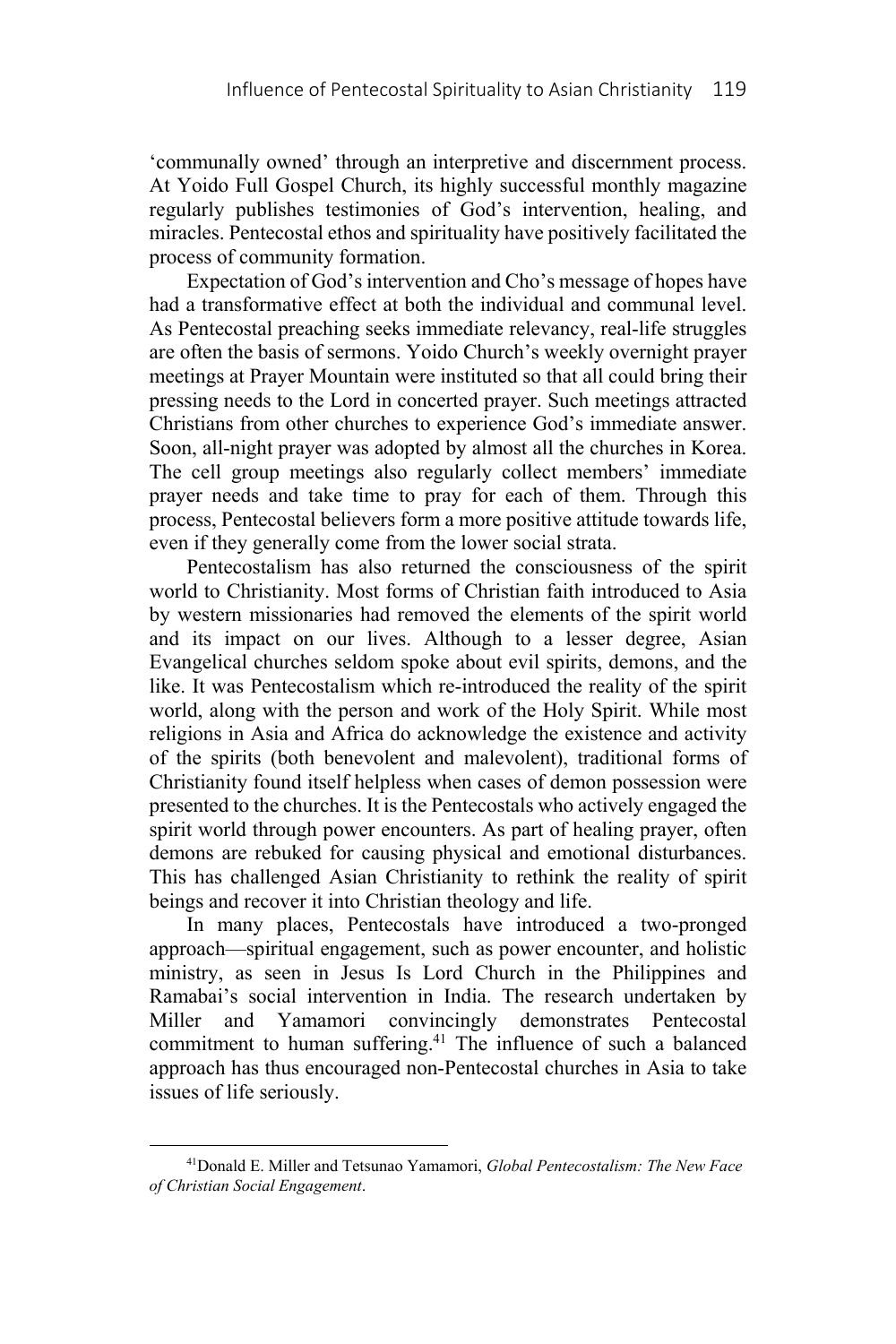'communally owned' through an interpretive and discernment process. At Yoido Full Gospel Church, its highly successful monthly magazine regularly publishes testimonies of God's intervention, healing, and miracles. Pentecostal ethos and spirituality have positively facilitated the process of community formation.

Expectation of God's intervention and Cho's message of hopes have had a transformative effect at both the individual and communal level. As Pentecostal preaching seeks immediate relevancy, real-life struggles are often the basis of sermons. Yoido Church's weekly overnight prayer meetings at Prayer Mountain were instituted so that all could bring their pressing needs to the Lord in concerted prayer. Such meetings attracted Christians from other churches to experience God's immediate answer. Soon, all-night prayer was adopted by almost all the churches in Korea. The cell group meetings also regularly collect members' immediate prayer needs and take time to pray for each of them. Through this process, Pentecostal believers form a more positive attitude towards life, even if they generally come from the lower social strata.

Pentecostalism has also returned the consciousness of the spirit world to Christianity. Most forms of Christian faith introduced to Asia by western missionaries had removed the elements of the spirit world and its impact on our lives. Although to a lesser degree, Asian Evangelical churches seldom spoke about evil spirits, demons, and the like. It was Pentecostalism which re-introduced the reality of the spirit world, along with the person and work of the Holy Spirit. While most religions in Asia and Africa do acknowledge the existence and activity of the spirits (both benevolent and malevolent), traditional forms of Christianity found itself helpless when cases of demon possession were presented to the churches. It is the Pentecostals who actively engaged the spirit world through power encounters. As part of healing prayer, often demons are rebuked for causing physical and emotional disturbances. This has challenged Asian Christianity to rethink the reality of spirit beings and recover it into Christian theology and life.

In many places, Pentecostals have introduced a two-pronged approach—spiritual engagement, such as power encounter, and holistic ministry, as seen in Jesus Is Lord Church in the Philippines and Ramabai's social intervention in India. The research undertaken by Miller and Yamamori convincingly demonstrates Pentecostal commitment to human suffering.<sup>41</sup> The influence of such a balanced approach has thus encouraged non-Pentecostal churches in Asia to take issues of life seriously.

<sup>41</sup>Donald E. Miller and Tetsunao Yamamori, *Global Pentecostalism: The New Face of Christian Social Engagement*.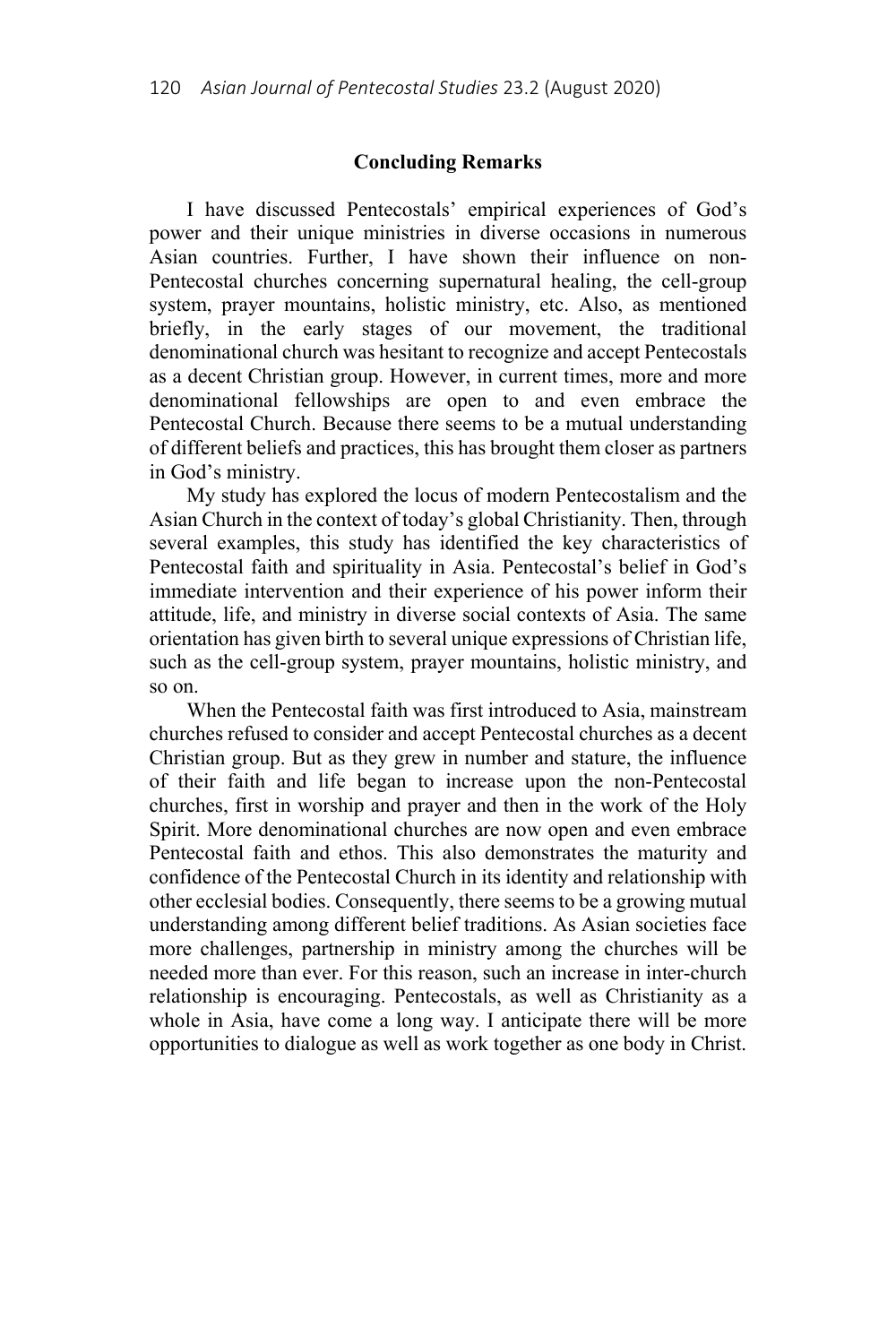### **Concluding Remarks**

I have discussed Pentecostals' empirical experiences of God's power and their unique ministries in diverse occasions in numerous Asian countries. Further, I have shown their influence on non-Pentecostal churches concerning supernatural healing, the cell-group system, prayer mountains, holistic ministry, etc. Also, as mentioned briefly, in the early stages of our movement, the traditional denominational church was hesitant to recognize and accept Pentecostals as a decent Christian group. However, in current times, more and more denominational fellowships are open to and even embrace the Pentecostal Church. Because there seems to be a mutual understanding of different beliefs and practices, this has brought them closer as partners in God's ministry.

My study has explored the locus of modern Pentecostalism and the Asian Church in the context of today's global Christianity. Then, through several examples, this study has identified the key characteristics of Pentecostal faith and spirituality in Asia. Pentecostal's belief in God's immediate intervention and their experience of his power inform their attitude, life, and ministry in diverse social contexts of Asia. The same orientation has given birth to several unique expressions of Christian life, such as the cell-group system, prayer mountains, holistic ministry, and so on.

When the Pentecostal faith was first introduced to Asia, mainstream churches refused to consider and accept Pentecostal churches as a decent Christian group. But as they grew in number and stature, the influence of their faith and life began to increase upon the non-Pentecostal churches, first in worship and prayer and then in the work of the Holy Spirit. More denominational churches are now open and even embrace Pentecostal faith and ethos. This also demonstrates the maturity and confidence of the Pentecostal Church in its identity and relationship with other ecclesial bodies. Consequently, there seems to be a growing mutual understanding among different belief traditions. As Asian societies face more challenges, partnership in ministry among the churches will be needed more than ever. For this reason, such an increase in inter-church relationship is encouraging. Pentecostals, as well as Christianity as a whole in Asia, have come a long way. I anticipate there will be more opportunities to dialogue as well as work together as one body in Christ.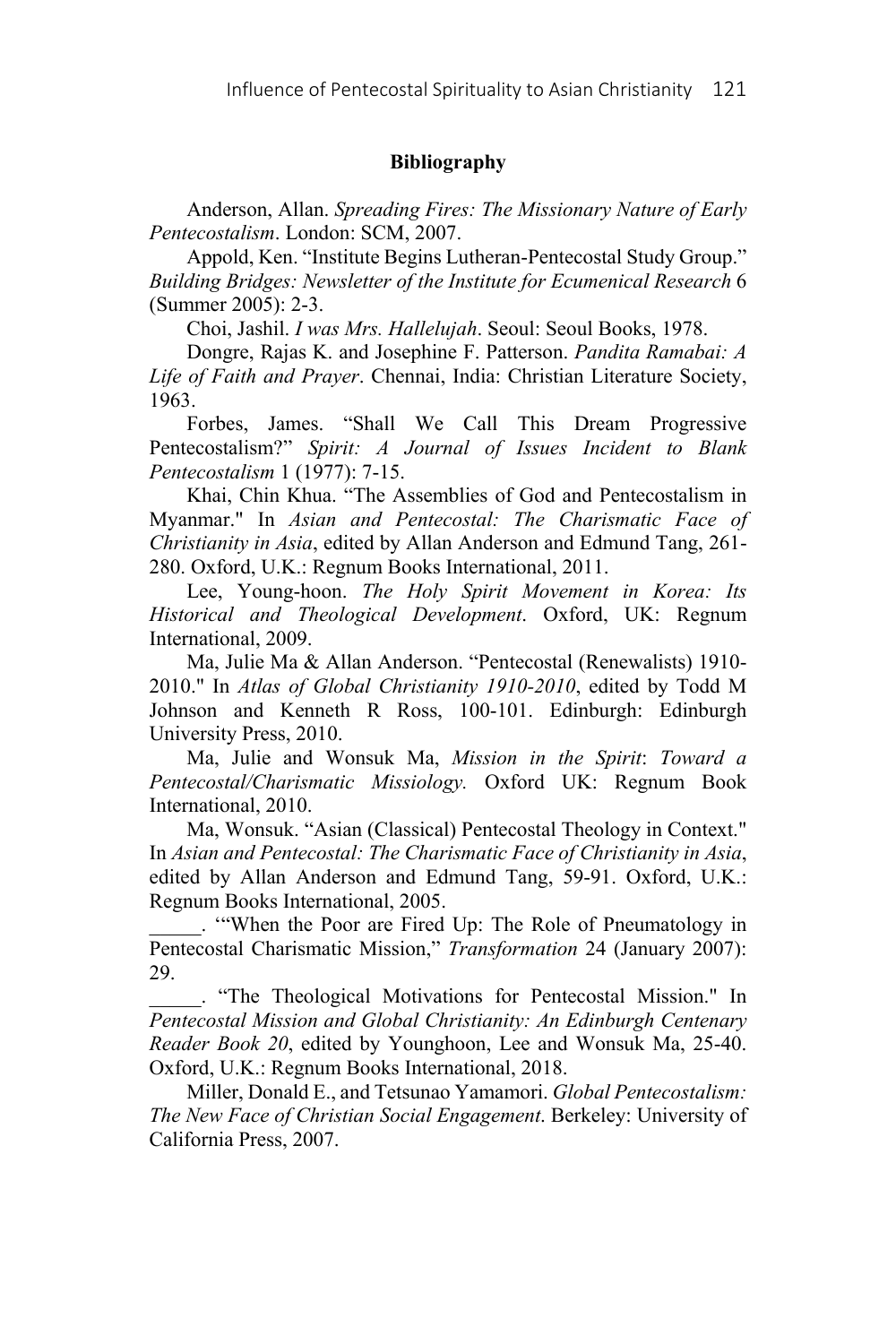# **Bibliography**

Anderson, Allan. *Spreading Fires: The Missionary Nature of Early Pentecostalism*. London: SCM, 2007.

Appold, Ken. "Institute Begins Lutheran-Pentecostal Study Group." *Building Bridges: Newsletter of the Institute for Ecumenical Research* 6 (Summer 2005): 2-3.

Choi, Jashil. *I was Mrs. Hallelujah*. Seoul: Seoul Books, 1978.

Dongre, Rajas K. and Josephine F. Patterson. *Pandita Ramabai: A Life of Faith and Prayer*. Chennai, India: Christian Literature Society, 1963.

Forbes, James. "Shall We Call This Dream Progressive Pentecostalism?" *Spirit: A Journal of Issues Incident to Blank Pentecostalism* 1 (1977): 7-15.

Khai, Chin Khua. "The Assemblies of God and Pentecostalism in Myanmar." In *Asian and Pentecostal: The Charismatic Face of Christianity in Asia*, edited by Allan Anderson and Edmund Tang, 261- 280. Oxford, U.K.: Regnum Books International, 2011.

Lee, Young-hoon. *The Holy Spirit Movement in Korea: Its Historical and Theological Development*. Oxford, UK: Regnum International, 2009.

Ma, Julie Ma & Allan Anderson. "Pentecostal (Renewalists) 1910- 2010." In *Atlas of Global Christianity 1910-2010*, edited by Todd M Johnson and Kenneth R Ross, 100-101. Edinburgh: Edinburgh University Press, 2010.

Ma, Julie and Wonsuk Ma, *Mission in the Spirit*: *Toward a Pentecostal/Charismatic Missiology.* Oxford UK: Regnum Book International, 2010.

Ma, Wonsuk. "Asian (Classical) Pentecostal Theology in Context." In *Asian and Pentecostal: The Charismatic Face of Christianity in Asia*, edited by Allan Anderson and Edmund Tang, 59-91. Oxford, U.K.: Regnum Books International, 2005.

\_\_\_\_\_. '"When the Poor are Fired Up: The Role of Pneumatology in Pentecostal Charismatic Mission," *Transformation* 24 (January 2007): 29.

\_\_\_\_\_. "The Theological Motivations for Pentecostal Mission." In *Pentecostal Mission and Global Christianity: An Edinburgh Centenary Reader Book 20*, edited by Younghoon, Lee and Wonsuk Ma, 25-40. Oxford, U.K.: Regnum Books International, 2018.

Miller, Donald E., and Tetsunao Yamamori. *Global Pentecostalism: The New Face of Christian Social Engagement*. Berkeley: University of California Press, 2007.